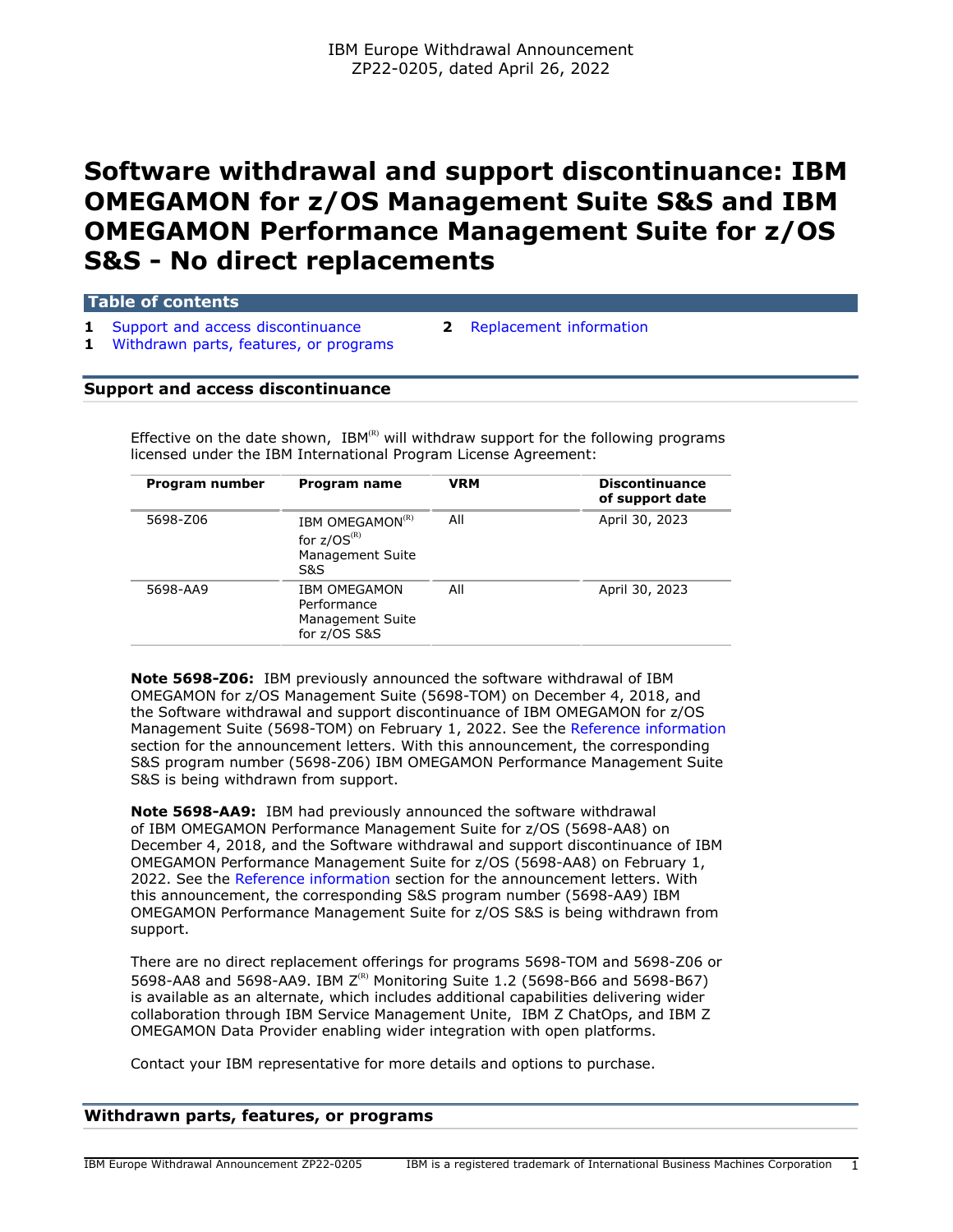# **Software withdrawal and support discontinuance: IBM OMEGAMON for z/OS Management Suite S&S and IBM OMEGAMON Performance Management Suite for z/OS S&S - No direct replacements**

**Table of contents**

**1** [Support and access discontinuance](#page-0-0) **2** [Replacement information](#page-1-0) **1** [Withdrawn parts, features, or programs](#page-0-1)

# <span id="page-0-0"></span>**Support and access discontinuance**

Effective on the date shown,  $IBM^{(R)}$  will withdraw support for the following programs licensed under the IBM International Program License Agreement:

| Program number | Program name                                                               | <b>VRM</b> | <b>Discontinuance</b><br>of support date |  |
|----------------|----------------------------------------------------------------------------|------------|------------------------------------------|--|
| 5698-Z06       | IBM OMEGAMON <sup>(R)</sup><br>for $z/OS^{(R)}$<br>Management Suite<br>S&S | All        | April 30, 2023                           |  |
| 5698-AA9       | <b>IBM OMEGAMON</b><br>Performance<br>Management Suite<br>for z/OS S&S     | All        | April 30, 2023                           |  |
|                |                                                                            |            |                                          |  |

**Note 5698-Z06:** IBM previously announced the software withdrawal of IBM OMEGAMON for z/OS Management Suite (5698-TOM) on December 4, 2018, and the Software withdrawal and support discontinuance of IBM OMEGAMON for z/OS Management Suite (5698-TOM) on February 1, 2022. See the [Reference information](#page-1-1) section for the announcement letters. With this announcement, the corresponding S&S program number (5698-Z06) IBM OMEGAMON Performance Management Suite S&S is being withdrawn from support.

**Note 5698-AA9:** IBM had previously announced the software withdrawal of IBM OMEGAMON Performance Management Suite for z/OS (5698-AA8) on December 4, 2018, and the Software withdrawal and support discontinuance of IBM OMEGAMON Performance Management Suite for z/OS (5698-AA8) on February 1, 2022. See the [Reference information](#page-1-1) section for the announcement letters. With this announcement, the corresponding S&S program number (5698-AA9) IBM OMEGAMON Performance Management Suite for z/OS S&S is being withdrawn from support.

There are no direct replacement offerings for programs 5698-TOM and 5698-Z06 or 5698-AA8 and 5698-AA9. IBM  $Z^{(R)}$  Monitoring Suite 1.2 (5698-B66 and 5698-B67) is available as an alternate, which includes additional capabilities delivering wider collaboration through IBM Service Management Unite, IBM Z ChatOps, and IBM Z OMEGAMON Data Provider enabling wider integration with open platforms.

Contact your IBM representative for more details and options to purchase.

# <span id="page-0-1"></span>**Withdrawn parts, features, or programs**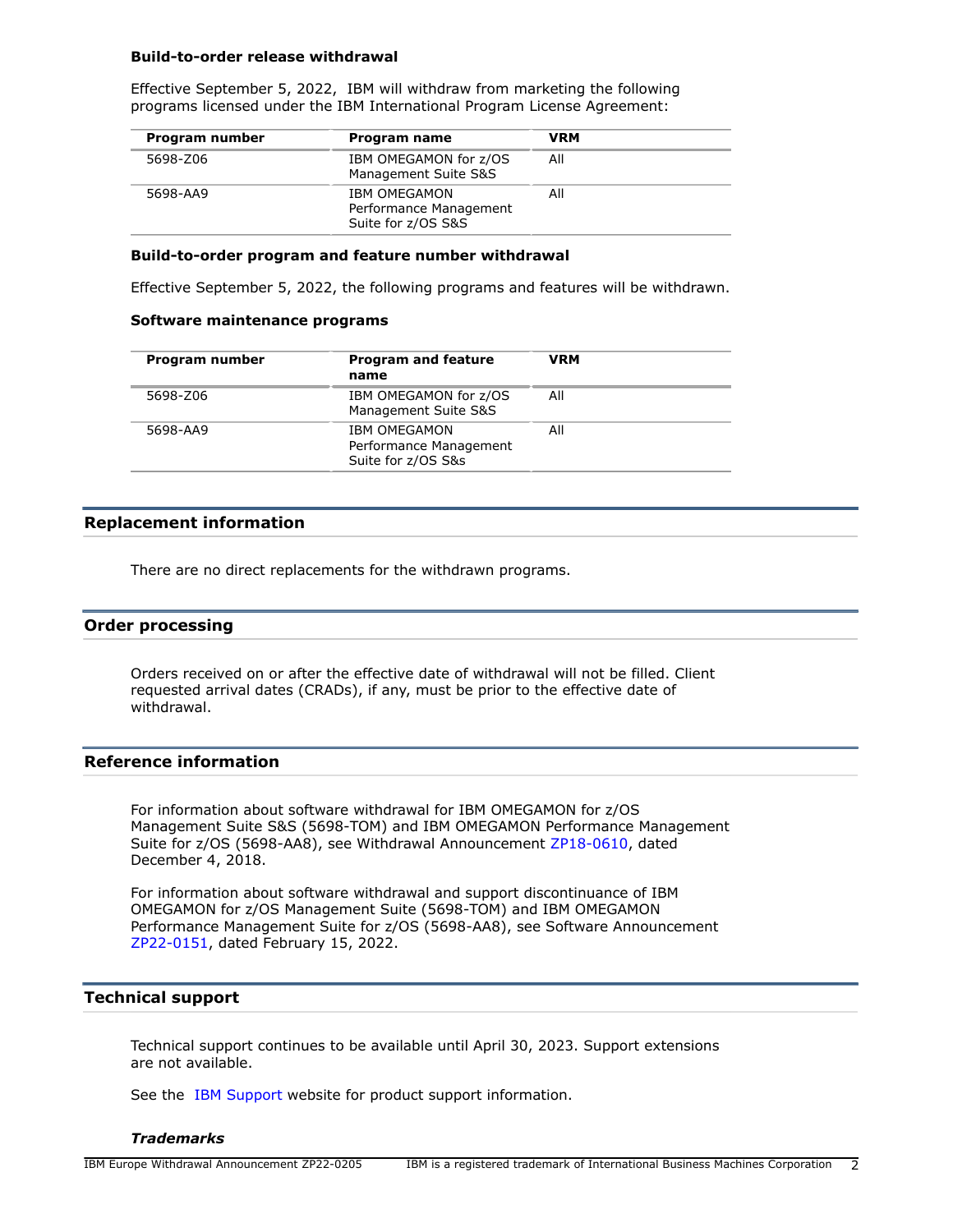#### **Build-to-order release withdrawal**

Effective September 5, 2022, IBM will withdraw from marketing the following programs licensed under the IBM International Program License Agreement:

| Program number | Program name                                                        | <b>VRM</b> |  |
|----------------|---------------------------------------------------------------------|------------|--|
| 5698-Z06       | IBM OMEGAMON for z/OS<br>Management Suite S&S                       | All        |  |
| 5698-AA9       | <b>IBM OMEGAMON</b><br>Performance Management<br>Suite for z/OS S&S | All        |  |

## **Build-to-order program and feature number withdrawal**

Effective September 5, 2022, the following programs and features will be withdrawn.

#### **Software maintenance programs**

| Program number | <b>Program and feature</b><br>name                                  | <b>VRM</b> |
|----------------|---------------------------------------------------------------------|------------|
| 5698-Z06       | IBM OMEGAMON for z/OS<br>Management Suite S&S                       | All        |
| 5698-AA9       | <b>IBM OMEGAMON</b><br>Performance Management<br>Suite for z/OS S&s | All        |

# <span id="page-1-0"></span>**Replacement information**

There are no direct replacements for the withdrawn programs.

# **Order processing**

Orders received on or after the effective date of withdrawal will not be filled. Client requested arrival dates (CRADs), if any, must be prior to the effective date of withdrawal.

# <span id="page-1-1"></span>**Reference information**

For information about software withdrawal for IBM OMEGAMON for z/OS Management Suite S&S (5698-TOM) and IBM OMEGAMON Performance Management Suite for z/OS (5698-AA8), see Withdrawal Announcement [ZP18-0610,](http://www.ibm.com/common/ssi/cgi-bin/ssialias?infotype=an&subtype=ca&appname=gpateam&supplier=877&letternum=ENUSZP18-0610) dated December 4, 2018.

For information about software withdrawal and support discontinuance of IBM OMEGAMON for z/OS Management Suite (5698-TOM) and IBM OMEGAMON Performance Management Suite for z/OS (5698-AA8), see Software Announcement [ZP22-0151,](http://www.ibm.com/common/ssi/cgi-bin/ssialias?infotype=an&subtype=ca&appname=gpateam&supplier=877&letternum=ENUSZP22-0151) dated February 15, 2022.

# **Technical support**

Technical support continues to be available until April 30, 2023. Support extensions are not available.

See the [IBM Support](https://www.ibm.com/support) website for product support information.

## *Trademarks*